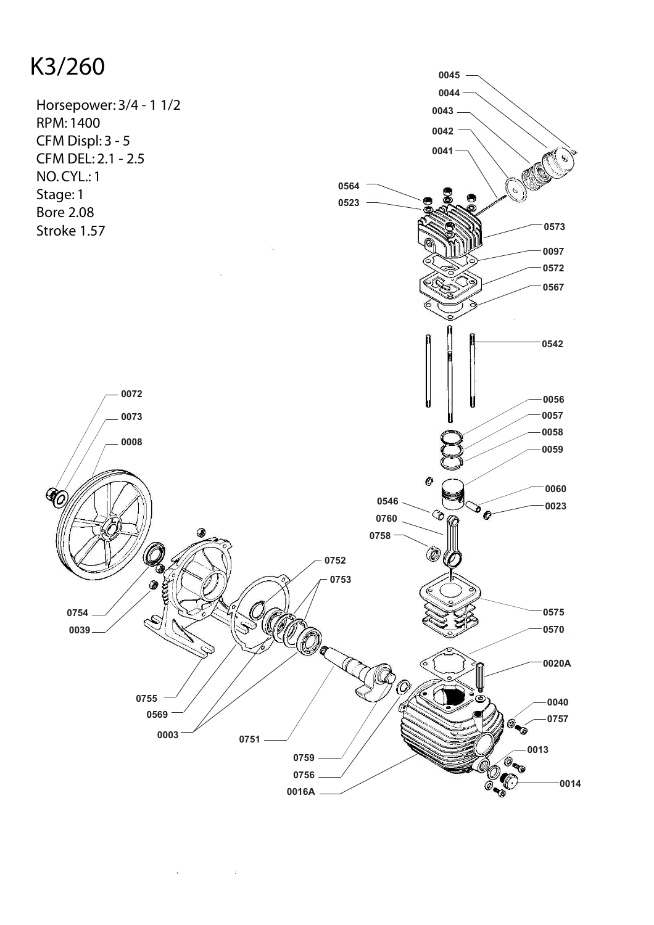## K3/260



 $\mathcal{N}$ 

 $\hat{\mathbf{x}}$